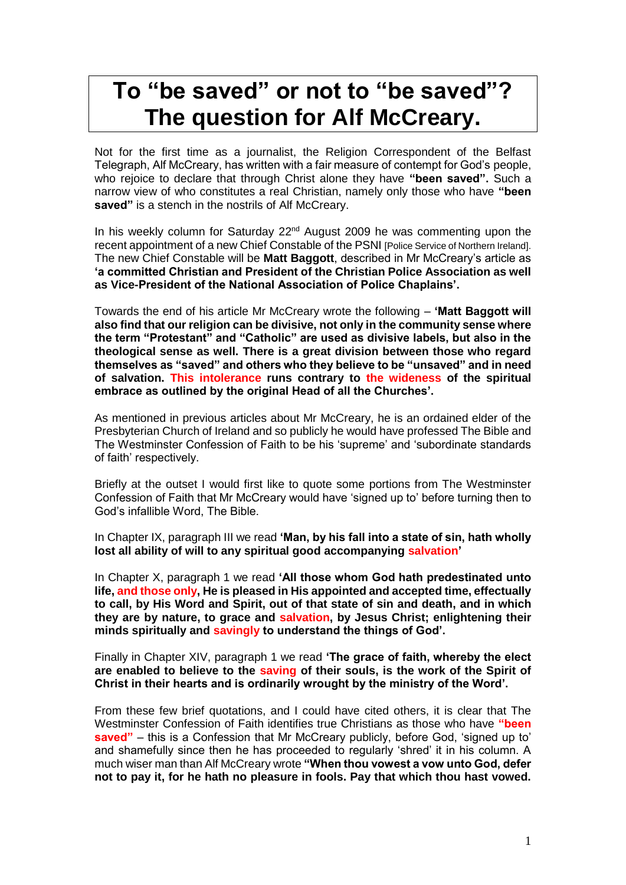## **To "be saved" or not to "be saved"? The question for Alf McCreary.**

Not for the first time as a journalist, the Religion Correspondent of the Belfast Telegraph, Alf McCreary, has written with a fair measure of contempt for God's people, who rejoice to declare that through Christ alone they have **"been saved".** Such a narrow view of who constitutes a real Christian, namely only those who have **"been**  saved" is a stench in the nostrils of Alf McCreary.

In his weekly column for Saturday 22<sup>nd</sup> August 2009 he was commenting upon the recent appointment of a new Chief Constable of the PSNI [Police Service of Northern Ireland]. The new Chief Constable will be **Matt Baggott**, described in Mr McCreary's article as **'a committed Christian and President of the Christian Police Association as well as Vice-President of the National Association of Police Chaplains'.**

Towards the end of his article Mr McCreary wrote the following – **'Matt Baggott will also find that our religion can be divisive, not only in the community sense where the term "Protestant" and "Catholic" are used as divisive labels, but also in the theological sense as well. There is a great division between those who regard themselves as "saved" and others who they believe to be "unsaved" and in need of salvation. This intolerance runs contrary to the wideness of the spiritual embrace as outlined by the original Head of all the Churches'.**

As mentioned in previous articles about Mr McCreary, he is an ordained elder of the Presbyterian Church of Ireland and so publicly he would have professed The Bible and The Westminster Confession of Faith to be his 'supreme' and 'subordinate standards of faith' respectively.

Briefly at the outset I would first like to quote some portions from The Westminster Confession of Faith that Mr McCreary would have 'signed up to' before turning then to God's infallible Word, The Bible.

In Chapter IX, paragraph III we read **'Man, by his fall into a state of sin, hath wholly lost all ability of will to any spiritual good accompanying salvation'**

In Chapter X, paragraph 1 we read **'All those whom God hath predestinated unto life, and those only, He is pleased in His appointed and accepted time, effectually to call, by His Word and Spirit, out of that state of sin and death, and in which they are by nature, to grace and salvation, by Jesus Christ; enlightening their minds spiritually and savingly to understand the things of God'.** 

Finally in Chapter XIV, paragraph 1 we read **'The grace of faith, whereby the elect are enabled to believe to the saving of their souls, is the work of the Spirit of Christ in their hearts and is ordinarily wrought by the ministry of the Word'.** 

From these few brief quotations, and I could have cited others, it is clear that The Westminster Confession of Faith identifies true Christians as those who have **"been saved"** – this is a Confession that Mr McCreary publicly, before God, 'signed up to' and shamefully since then he has proceeded to regularly 'shred' it in his column. A much wiser man than Alf McCreary wrote **"When thou vowest a vow unto God, defer not to pay it, for he hath no pleasure in fools. Pay that which thou hast vowed.**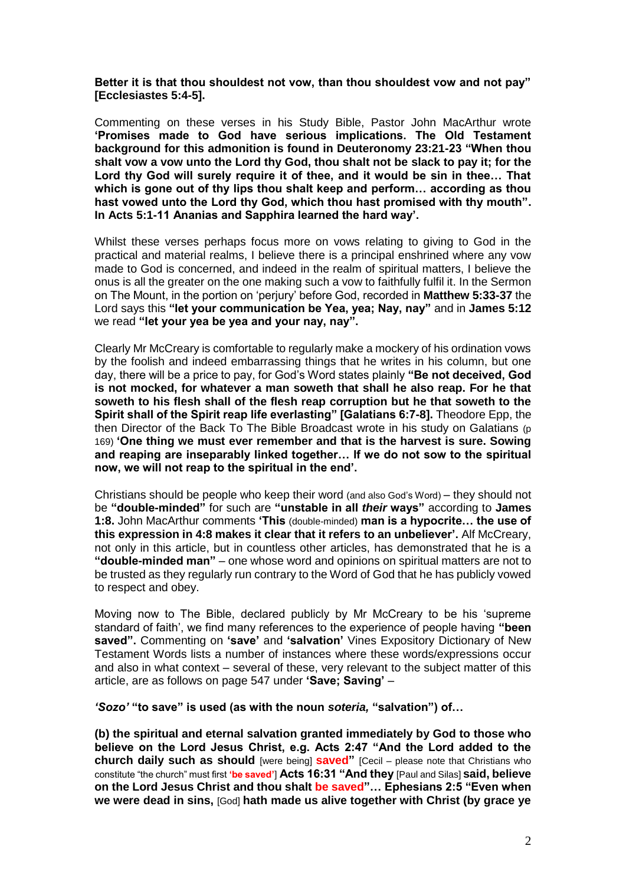**Better it is that thou shouldest not vow, than thou shouldest vow and not pay" [Ecclesiastes 5:4-5].**

Commenting on these verses in his Study Bible, Pastor John MacArthur wrote **'Promises made to God have serious implications. The Old Testament background for this admonition is found in Deuteronomy 23:21-23 "When thou shalt vow a vow unto the Lord thy God, thou shalt not be slack to pay it; for the Lord thy God will surely require it of thee, and it would be sin in thee… That which is gone out of thy lips thou shalt keep and perform… according as thou hast vowed unto the Lord thy God, which thou hast promised with thy mouth". In Acts 5:1-11 Ananias and Sapphira learned the hard way'.**

Whilst these verses perhaps focus more on vows relating to giving to God in the practical and material realms, I believe there is a principal enshrined where any vow made to God is concerned, and indeed in the realm of spiritual matters, I believe the onus is all the greater on the one making such a vow to faithfully fulfil it. In the Sermon on The Mount, in the portion on 'perjury' before God, recorded in **Matthew 5:33-37** the Lord says this **"let your communication be Yea, yea; Nay, nay"** and in **James 5:12**  we read **"let your yea be yea and your nay, nay".** 

Clearly Mr McCreary is comfortable to regularly make a mockery of his ordination vows by the foolish and indeed embarrassing things that he writes in his column, but one day, there will be a price to pay, for God's Word states plainly **"Be not deceived, God is not mocked, for whatever a man soweth that shall he also reap. For he that soweth to his flesh shall of the flesh reap corruption but he that soweth to the Spirit shall of the Spirit reap life everlasting" [Galatians 6:7-8].** Theodore Epp, the then Director of the Back To The Bible Broadcast wrote in his study on Galatians (p 169) **'One thing we must ever remember and that is the harvest is sure. Sowing and reaping are inseparably linked together… If we do not sow to the spiritual now, we will not reap to the spiritual in the end'.** 

Christians should be people who keep their word (and also God's Word) – they should not be **"double-minded"** for such are **"unstable in all** *their* **ways"** according to **James 1:8.** John MacArthur comments **'This** (double-minded) **man is a hypocrite… the use of this expression in 4:8 makes it clear that it refers to an unbeliever'.** Alf McCreary, not only in this article, but in countless other articles, has demonstrated that he is a **"double-minded man"** – one whose word and opinions on spiritual matters are not to be trusted as they regularly run contrary to the Word of God that he has publicly vowed to respect and obey.

Moving now to The Bible, declared publicly by Mr McCreary to be his 'supreme standard of faith', we find many references to the experience of people having **"been saved".** Commenting on **'save'** and **'salvation'** Vines Expository Dictionary of New Testament Words lists a number of instances where these words/expressions occur and also in what context – several of these, very relevant to the subject matter of this article, are as follows on page 547 under **'Save; Saving'** –

*'Sozo'* **"to save" is used (as with the noun** *soteria,* **"salvation") of…** 

**(b) the spiritual and eternal salvation granted immediately by God to those who believe on the Lord Jesus Christ, e.g. Acts 2:47 "And the Lord added to the church daily such as should** [were being] **saved"** [Cecil – please note that Christians who constitute "the church" must first **'be saved'**] **Acts 16:31 "And they** [Paul and Silas] **said, believe on the Lord Jesus Christ and thou shalt be saved"… Ephesians 2:5 "Even when we were dead in sins,** [God] **hath made us alive together with Christ (by grace ye**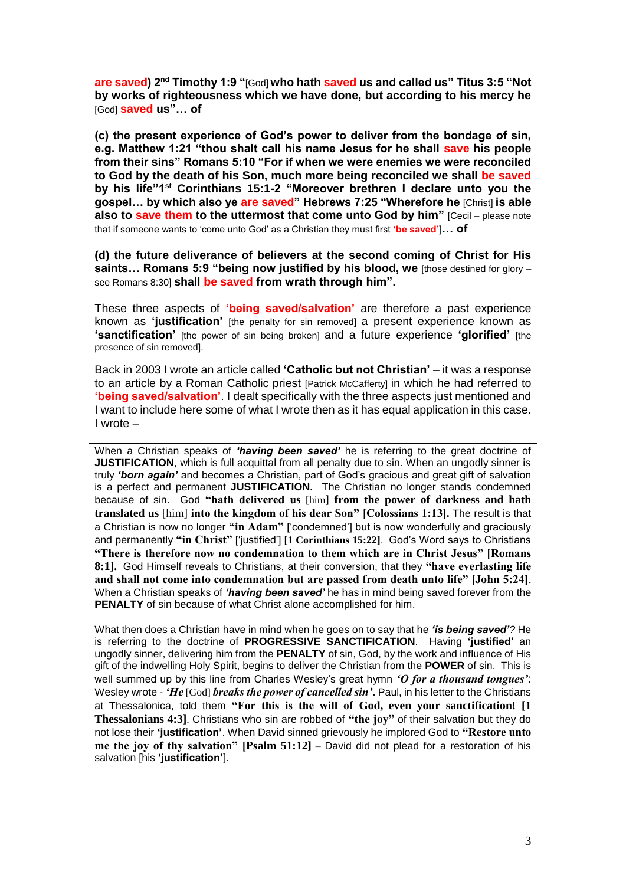**are saved) 2nd Timothy 1:9 "**[God] **who hath saved us and called us" Titus 3:5 "Not by works of righteousness which we have done, but according to his mercy he**  [God] **saved us"… of**

**(c) the present experience of God's power to deliver from the bondage of sin, e.g. Matthew 1:21 "thou shalt call his name Jesus for he shall save his people from their sins" Romans 5:10 "For if when we were enemies we were reconciled to God by the death of his Son, much more being reconciled we shall be saved by his life"1st Corinthians 15:1-2 "Moreover brethren I declare unto you the gospel… by which also ye are saved" Hebrews 7:25 "Wherefore he** [Christ] **is able also to save them to the uttermost that come unto God by him"** [Cecil – please note that if someone wants to 'come unto God' as a Christian they must first **'be saved'**]**… of**

**(d) the future deliverance of believers at the second coming of Christ for His saints… Romans 5:9 "being now justified by his blood, we** [those destined for glory – see Romans 8:30] **shall be saved from wrath through him".**

These three aspects of **'being saved/salvation'** are therefore a past experience known as **'justification'** [the penalty for sin removed] a present experience known as **'sanctification'** [the power of sin being broken] and a future experience **'glorified'** [the presence of sin removed].

Back in 2003 I wrote an article called **'Catholic but not Christian'** – it was a response to an article by a Roman Catholic priest [Patrick McCafferty] in which he had referred to **'being saved/salvation'**. I dealt specifically with the three aspects just mentioned and I want to include here some of what I wrote then as it has equal application in this case. I wrote –

When a Christian speaks of *'having been saved'* he is referring to the great doctrine of **JUSTIFICATION**, which is full acquittal from all penalty due to sin. When an ungodly sinner is truly *'born again'* and becomes a Christian, part of God's gracious and great gift of salvation is a perfect and permanent **JUSTIFICATION.** The Christian no longer stands condemned because of sin. God **"hath delivered us** [him] **from the power of darkness and hath translated us** [him] **into the kingdom of his dear Son" [Colossians 1:13].** The result is that a Christian is now no longer **"in Adam"** ['condemned'] but is now wonderfully and graciously and permanently **"in Christ"** ['justified'] **[1 Corinthians 15:22]**. God's Word says to Christians **"There is therefore now no condemnation to them which are in Christ Jesus" [Romans 8:1].** God Himself reveals to Christians, at their conversion, that they **"have everlasting life and shall not come into condemnation but are passed from death unto life" [John 5:24]**. When a Christian speaks of *'having been saved'* he has in mind being saved forever from the **PENALTY** of sin because of what Christ alone accomplished for him.

What then does a Christian have in mind when he goes on to say that he *'is being saved'?* He is referring to the doctrine of **PROGRESSIVE SANCTIFICATION**. Having **'justified'** an ungodly sinner, delivering him from the **PENALTY** of sin, God, by the work and influence of His gift of the indwelling Holy Spirit, begins to deliver the Christian from the **POWER** of sin. This is well summed up by this line from Charles Wesley's great hymn *'O for a thousand tongues'*: Wesley wrote - *'He* [God] *breaks the power of cancelled sin'*. Paul, in his letter to the Christians at Thessalonica, told them **"For this is the will of God, even your sanctification! [1 Thessalonians 4:3]**. Christians who sin are robbed of **"the joy"** of their salvation but they do not lose their **'justification'**. When David sinned grievously he implored God to **"Restore unto me the joy of thy salvation" [Psalm 51:12]** – David did not plead for a restoration of his salvation [his **'justification'**].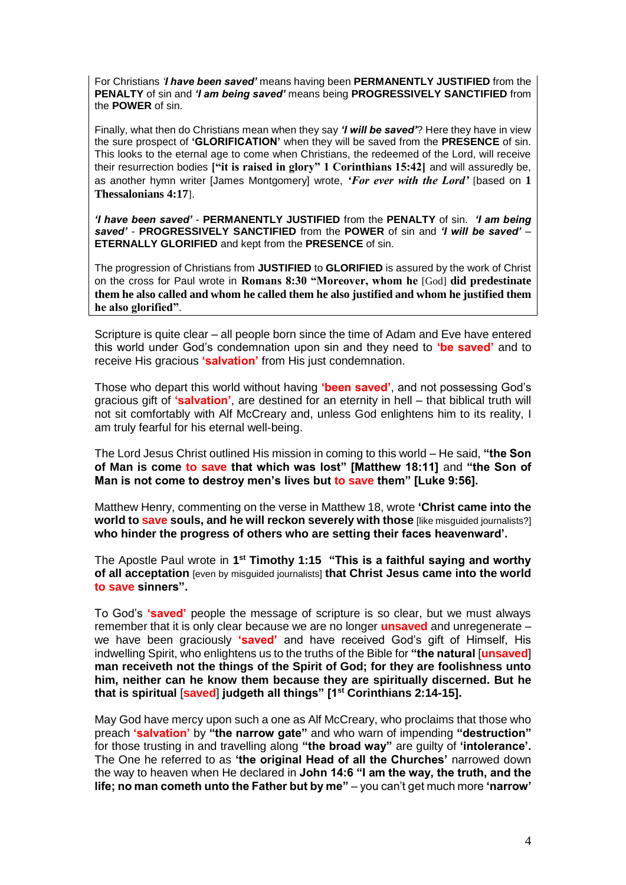For Christians *'I have been saved'* means having been **PERMANENTLY JUSTIFIED** from the **PENALTY** of sin and *'I am being saved'* means being **PROGRESSIVELY SANCTIFIED** from the **POWER** of sin.

Finally, what then do Christians mean when they say *'I will be saved'*? Here they have in view the sure prospect of **'GLORIFICATION'** when they will be saved from the **PRESENCE** of sin. This looks to the eternal age to come when Christians, the redeemed of the Lord, will receive their resurrection bodies **["it is raised in glory" 1 Corinthians 15:42]** and will assuredly be, as another hymn writer [James Montgomery] wrote, *'For ever with the Lord'* [based on **1 Thessalonians 4:17**].

*'I have been saved'* - **PERMANENTLY JUSTIFIED** from the **PENALTY** of sin. *'I am being saved'* - **PROGRESSIVELY SANCTIFIED** from the **POWER** of sin and *'I will be saved'* – **ETERNALLY GLORIFIED** and kept from the **PRESENCE** of sin.

The progression of Christians from **JUSTIFIED** to **GLORIFIED** is assured by the work of Christ on the cross for Paul wrote in **Romans 8:30 "Moreover, whom he** [God] **did predestinate them he also called and whom he called them he also justified and whom he justified them he also glorified"**.

Scripture is quite clear – all people born since the time of Adam and Eve have entered this world under God's condemnation upon sin and they need to **'be saved'** and to receive His gracious **'salvation'** from His just condemnation.

Those who depart this world without having **'been saved'**, and not possessing God's gracious gift of **'salvation'**, are destined for an eternity in hell – that biblical truth will not sit comfortably with Alf McCreary and, unless God enlightens him to its reality, I am truly fearful for his eternal well-being.

The Lord Jesus Christ outlined His mission in coming to this world – He said, **"the Son of Man is come to save that which was lost" [Matthew 18:11]** and **"the Son of Man is not come to destroy men's lives but to save them" [Luke 9:56].**

Matthew Henry, commenting on the verse in Matthew 18, wrote **'Christ came into the world to save souls, and he will reckon severely with those** like misquided journalists?] **who hinder the progress of others who are setting their faces heavenward'.** 

The Apostle Paul wrote in **1 st Timothy 1:15 "This is a faithful saying and worthy of all acceptation** [even by misguided journalists] **that Christ Jesus came into the world to save sinners".**

To God's **'saved'** people the message of scripture is so clear, but we must always remember that it is only clear because we are no longer **unsaved** and unregenerate – we have been graciously **'saved'** and have received God's gift of Himself, His indwelling Spirit, who enlightens us to the truths of the Bible for **"the natural** [**unsaved**] **man receiveth not the things of the Spirit of God; for they are foolishness unto him, neither can he know them because they are spiritually discerned. But he that is spiritual** [**saved**] **judgeth all things" [1st Corinthians 2:14-15].** 

May God have mercy upon such a one as Alf McCreary, who proclaims that those who preach **'salvation'** by **"the narrow gate"** and who warn of impending **"destruction"**  for those trusting in and travelling along **"the broad way"** are guilty of **'intolerance'.**  The One he referred to as **'the original Head of all the Churches'** narrowed down the way to heaven when He declared in **John 14:6 "I am the way, the truth, and the life; no man cometh unto the Father but by me"** – you can't get much more **'narrow'**